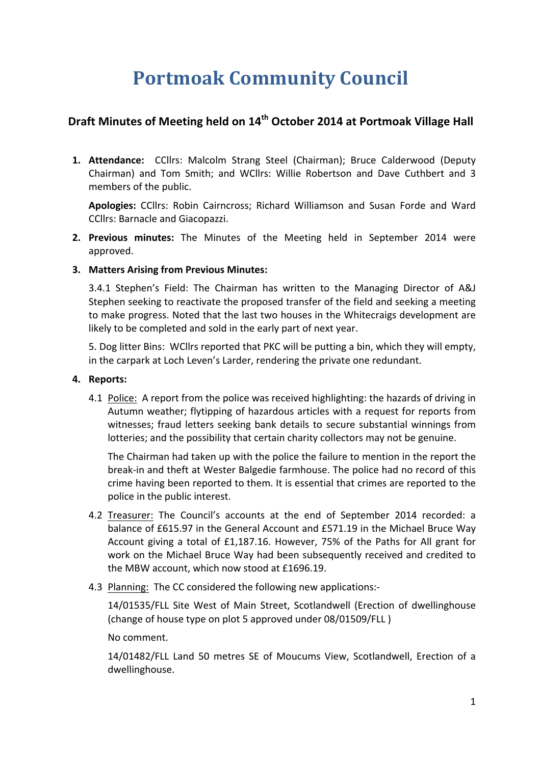# **Portmoak Community Council**

# **Draft Minutes of Meeting held on 14<sup>th</sup> October 2014 at Portmoak Village Hall**

**1. Attendance:** CCllrs: Malcolm Strang Steel (Chairman); Bruce Calderwood (Deputy Chairman) and Tom Smith; and WCllrs: Willie Robertson and Dave Cuthbert and 3 members of the public.

**Apologies:** CCllrs: Robin Cairncross: Richard Williamson and Susan Forde and Ward CCllrs: Barnacle and Giacopazzi.

**2. Previous minutes:** The Minutes of the Meeting held in September 2014 were approved.

#### **3. Matters Arising from Previous Minutes:**

3.4.1 Stephen's Field: The Chairman has written to the Managing Director of A&J Stephen seeking to reactivate the proposed transfer of the field and seeking a meeting to make progress. Noted that the last two houses in the Whitecraigs development are likely to be completed and sold in the early part of next year.

5. Dog litter Bins: WCllrs reported that PKC will be putting a bin, which they will empty, in the carpark at Loch Leven's Larder, rendering the private one redundant.

#### **4.** Reports:

4.1 Police: A report from the police was received highlighting: the hazards of driving in Autumn weather; flytipping of hazardous articles with a request for reports from witnesses; fraud letters seeking bank details to secure substantial winnings from lotteries; and the possibility that certain charity collectors may not be genuine.

The Chairman had taken up with the police the failure to mention in the report the break-in and theft at Wester Balgedie farmhouse. The police had no record of this crime having been reported to them. It is essential that crimes are reported to the police in the public interest.

- 4.2 Treasurer: The Council's accounts at the end of September 2014 recorded: a balance of £615.97 in the General Account and £571.19 in the Michael Bruce Way Account giving a total of  $£1,187.16$ . However, 75% of the Paths for All grant for work on the Michael Bruce Way had been subsequently received and credited to the MBW account, which now stood at £1696.19.
- 4.3 Planning: The CC considered the following new applications:-

14/01535/FLL Site West of Main Street, Scotlandwell (Erection of dwellinghouse (change of house type on plot 5 approved under 08/01509/FLL)

No comment.

14/01482/FLL Land 50 metres SE of Moucums View, Scotlandwell, Erection of a dwellinghouse.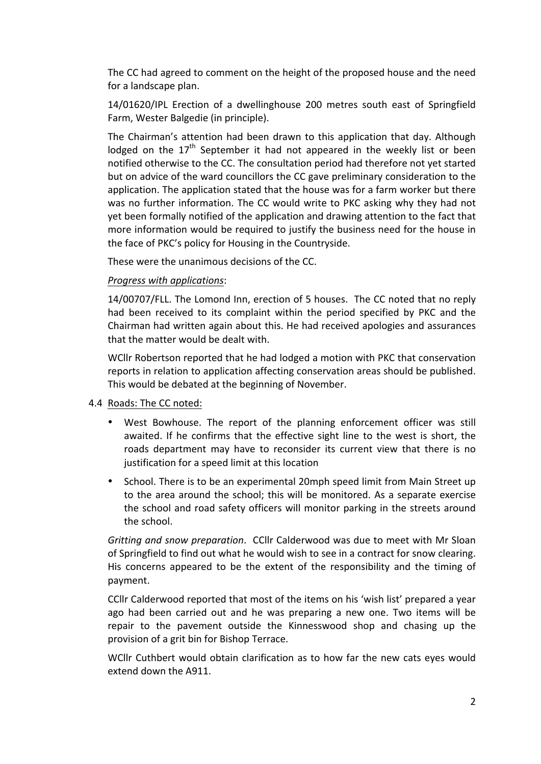The CC had agreed to comment on the height of the proposed house and the need for a landscape plan.

14/01620/IPL Erection of a dwellinghouse 200 metres south east of Springfield Farm, Wester Balgedie (in principle).

The Chairman's attention had been drawn to this application that day. Although lodged on the  $17<sup>th</sup>$  September it had not appeared in the weekly list or been notified otherwise to the CC. The consultation period had therefore not yet started but on advice of the ward councillors the CC gave preliminary consideration to the application. The application stated that the house was for a farm worker but there was no further information. The CC would write to PKC asking why they had not yet been formally notified of the application and drawing attention to the fact that more information would be required to justify the business need for the house in the face of PKC's policy for Housing in the Countryside.

These were the unanimous decisions of the CC.

#### *Progress with applications*:

14/00707/FLL. The Lomond Inn, erection of 5 houses. The CC noted that no reply had been received to its complaint within the period specified by PKC and the Chairman had written again about this. He had received apologies and assurances that the matter would be dealt with.

WCIIr Robertson reported that he had lodged a motion with PKC that conservation reports in relation to application affecting conservation areas should be published. This would be debated at the beginning of November.

#### 4.4 Roads: The CC noted:

- West Bowhouse. The report of the planning enforcement officer was still awaited. If he confirms that the effective sight line to the west is short, the roads department may have to reconsider its current view that there is no justification for a speed limit at this location
- School. There is to be an experimental 20mph speed limit from Main Street up to the area around the school; this will be monitored. As a separate exercise the school and road safety officers will monitor parking in the streets around the school.

*Gritting and snow preparation.* CCllr Calderwood was due to meet with Mr Sloan of Springfield to find out what he would wish to see in a contract for snow clearing. His concerns appeared to be the extent of the responsibility and the timing of payment.

CCIIr Calderwood reported that most of the items on his 'wish list' prepared a year ago had been carried out and he was preparing a new one. Two items will be repair to the pavement outside the Kinnesswood shop and chasing up the provision of a grit bin for Bishop Terrace.

WCllr Cuthbert would obtain clarification as to how far the new cats eyes would extend down the A911.